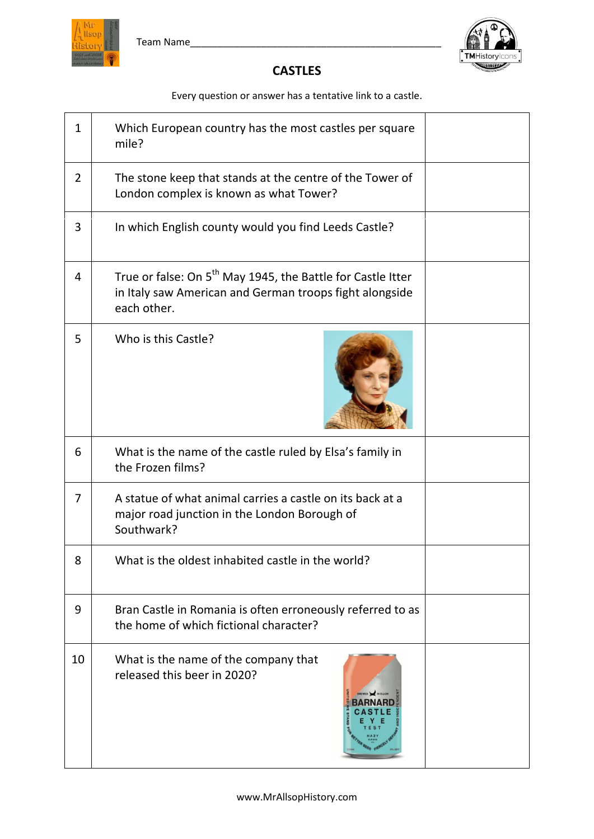



## **CASTLES**

Every question or answer has a tentative link to a castle.

| $\mathbf{1}$   | Which European country has the most castles per square<br>mile?                                                                                   |  |
|----------------|---------------------------------------------------------------------------------------------------------------------------------------------------|--|
| $\overline{2}$ | The stone keep that stands at the centre of the Tower of<br>London complex is known as what Tower?                                                |  |
| 3              | In which English county would you find Leeds Castle?                                                                                              |  |
| 4              | True or false: On 5 <sup>th</sup> May 1945, the Battle for Castle Itter<br>in Italy saw American and German troops fight alongside<br>each other. |  |
| 5              | Who is this Castle?                                                                                                                               |  |
| 6              | What is the name of the castle ruled by Elsa's family in<br>the Frozen films?                                                                     |  |
| 7              | A statue of what animal carries a castle on its back at a<br>major road junction in the London Borough of<br>Southwark?                           |  |
| 8              | What is the oldest inhabited castle in the world?                                                                                                 |  |
| 9              | Bran Castle in Romania is often erroneously referred to as<br>the home of which fictional character?                                              |  |
| 10             | What is the name of the company that<br>released this beer in 2020?                                                                               |  |